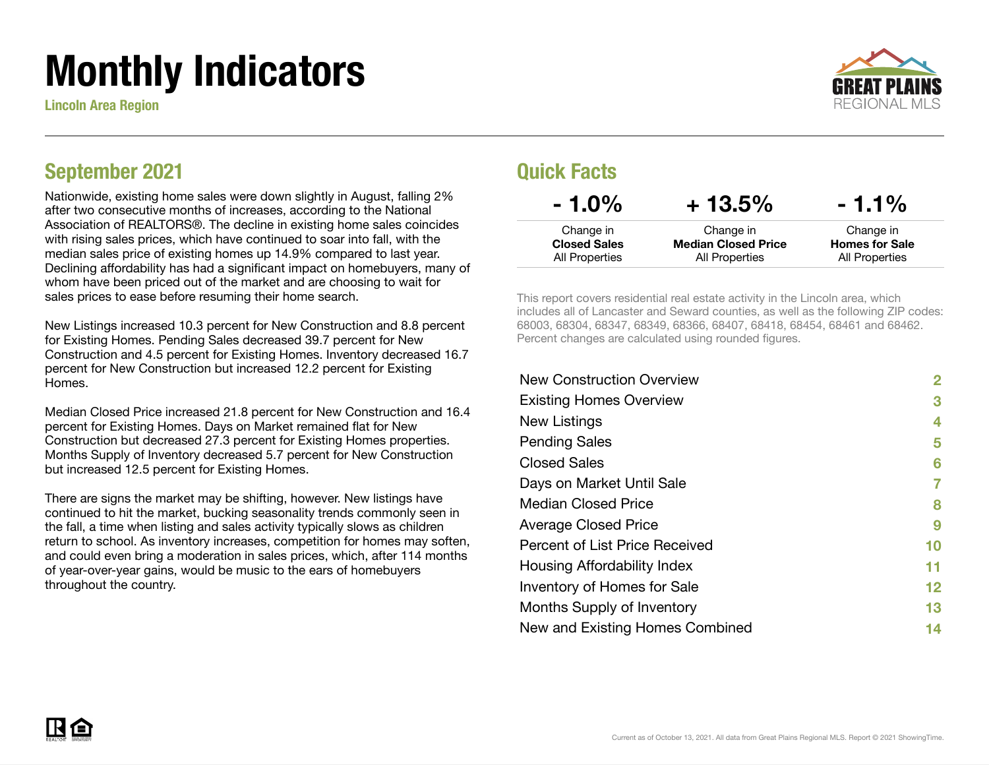# Monthly Indicators

Lincoln Area Region



### September 2021

Nationwide, existing home sales were down slightly in August, falling 2% after two consecutive months of increases, according to the National Association of REALTORS®. The decline in existing home sales coincides with rising sales prices, which have continued to soar into fall, with the median sales price of existing homes up 14.9% compared to last year. Declining affordability has had a significant impact on homebuyers, many of whom have been priced out of the market and are choosing to wait for sales prices to ease before resuming their home search.

New Listings increased 10.3 percent for New Construction and 8.8 percent for Existing Homes. Pending Sales decreased 39.7 percent for New Construction and 4.5 percent for Existing Homes. Inventory decreased 16.7 percent for New Construction but increased 12.2 percent for Existing Homes.

Median Closed Price increased 21.8 percent for New Construction and 16.4 percent for Existing Homes. Days on Market remained flat for New Construction but decreased 27.3 percent for Existing Homes properties. Months Supply of Inventory decreased 5.7 percent for New Construction but increased 12.5 percent for Existing Homes.

There are signs the market may be shifting, however. New listings have continued to hit the market, bucking seasonality trends commonly seen in the fall, a time when listing and sales activity typically slows as children return to school. As inventory increases, competition for homes may soften, and could even bring a moderation in sales prices, which, after 114 months of year-over-year gains, would be music to the ears of homebuyers throughout the country.

### Quick Facts

| $-1.0\%$                         | $+13.5%$                                | $-1.1\%$                           |
|----------------------------------|-----------------------------------------|------------------------------------|
| Change in<br><b>Closed Sales</b> | Change in<br><b>Median Closed Price</b> | Change in<br><b>Homes for Sale</b> |
| All Properties                   | All Properties                          | All Properties                     |

This report covers residential real estate activity in the Lincoln area, which includes all of Lancaster and Seward counties, as well as the following ZIP codes: 68003, 68304, 68347, 68349, 68366, 68407, 68418, 68454, 68461 and 68462. Percent changes are calculated using rounded figures.

| 2  |
|----|
| 3  |
| 4  |
| 5  |
| 6  |
|    |
| 8  |
| 9  |
| 10 |
| 11 |
| 12 |
| 13 |
| 14 |
|    |

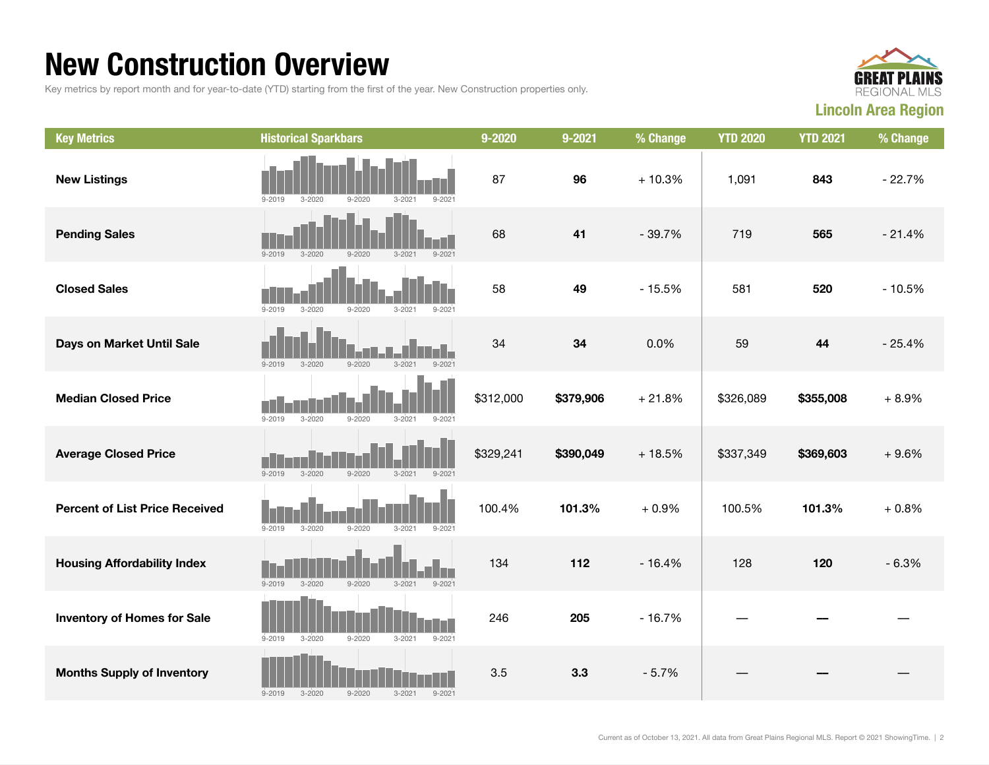### New Construction Overview

Key metrics by report month and for year-to-date (YTD) starting from the first of the year. New Construction properties only.



| <b>Key Metrics</b>                    | <b>Historical Sparkbars</b>                                        | 9-2020    | 9-2021    | % Change | <b>YTD 2020</b> | <b>YTD 2021</b> | % Change |
|---------------------------------------|--------------------------------------------------------------------|-----------|-----------|----------|-----------------|-----------------|----------|
| <b>New Listings</b>                   | $3 - 2021$<br>$9 - 2021$<br>$9 - 2019$<br>$3 - 2020$<br>$9 - 2020$ | 87        | 96        | $+10.3%$ | 1,091           | 843             | $-22.7%$ |
| <b>Pending Sales</b>                  | $9 - 2020$<br>$3 - 2021$<br>$9 - 2021$<br>$9 - 2019$<br>$3 - 2020$ | 68        | 41        | $-39.7%$ | 719             | 565             | $-21.4%$ |
| <b>Closed Sales</b>                   | $9 - 2019$<br>$3 - 2020$<br>$9 - 2020$<br>$9 - 202$<br>$3 - 2021$  | 58        | 49        | $-15.5%$ | 581             | 520             | $-10.5%$ |
| Days on Market Until Sale             | $9 - 2019$<br>$3 - 2020$<br>$9 - 2020$<br>$3 - 2021$<br>$9 - 2021$ | 34        | 34        | 0.0%     | 59              | 44              | $-25.4%$ |
| <b>Median Closed Price</b>            | $9 - 2019$<br>$9 - 2020$<br>$3 - 2020$<br>$3 - 2021$<br>$9 - 2021$ | \$312,000 | \$379,906 | $+21.8%$ | \$326,089       | \$355,008       | $+8.9%$  |
| <b>Average Closed Price</b>           | $9 - 2019$<br>$3 - 2020$<br>$9 - 2020$<br>$3 - 2021$<br>$9 - 2021$ | \$329,241 | \$390,049 | $+18.5%$ | \$337,349       | \$369,603       | $+9.6%$  |
| <b>Percent of List Price Received</b> | $9 - 2019$<br>$9 - 2020$<br>$3 - 2020$<br>$3 - 2021$<br>$9 - 2021$ | 100.4%    | 101.3%    | $+0.9%$  | 100.5%          | 101.3%          | $+0.8%$  |
| <b>Housing Affordability Index</b>    | $9 - 2019$<br>$3 - 2020$<br>$9 - 2020$<br>$3 - 2021$<br>$9 - 2021$ | 134       | 112       | $-16.4%$ | 128             | 120             | $-6.3%$  |
| <b>Inventory of Homes for Sale</b>    | $9 - 2019$<br>$3 - 2020$<br>$9 - 2020$<br>$3 - 2021$<br>$9 - 2021$ | 246       | 205       | $-16.7%$ |                 |                 |          |
| <b>Months Supply of Inventory</b>     | $9 - 2019$<br>$3 - 2020$<br>$9 - 2020$<br>$3 - 2021$<br>$9 - 2021$ | 3.5       | 3.3       | $-5.7%$  |                 |                 |          |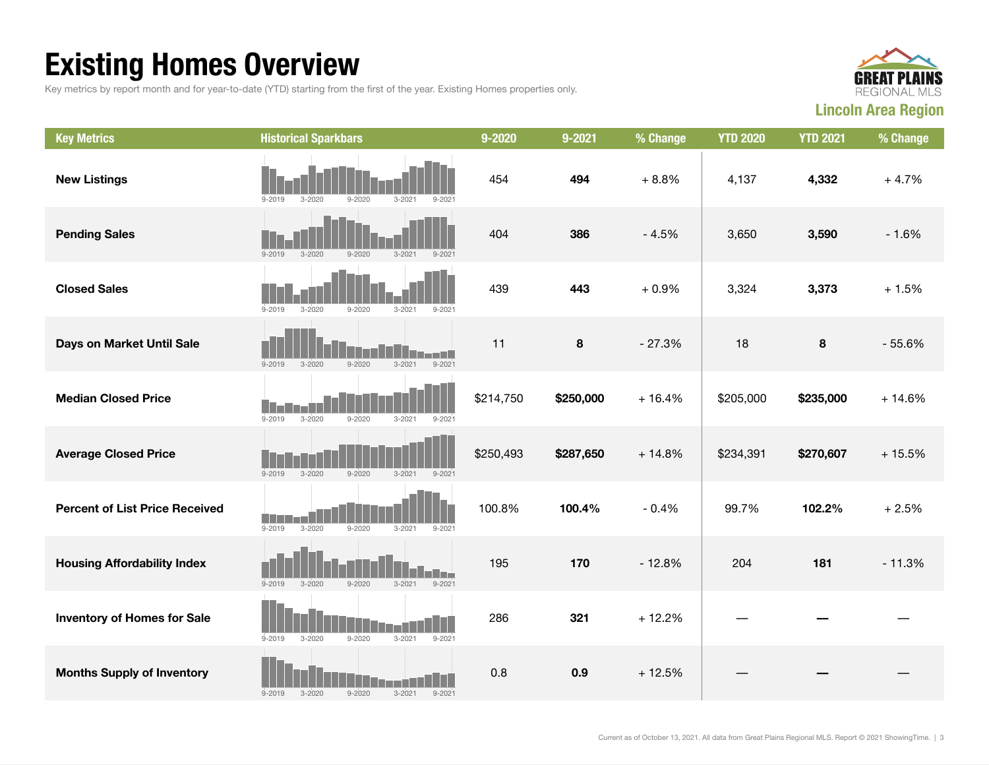## Existing Homes Overview

Key metrics by report month and for year-to-date (YTD) starting from the first of the year. Existing Homes properties only.



| <b>Key Metrics</b>                    | <b>Historical Sparkbars</b>                                                 | 9-2020    | $9 - 2021$ | % Change | <b>YTD 2020</b> | <b>YTD 2021</b> | % Change |
|---------------------------------------|-----------------------------------------------------------------------------|-----------|------------|----------|-----------------|-----------------|----------|
| <b>New Listings</b>                   | $9 - 2020$<br>$3 - 2021$<br>$9 - 2019$<br>$3 - 2020$<br>$9 - 202$           | 454       | 494        | $+8.8%$  | 4,137           | 4,332           | $+4.7%$  |
| <b>Pending Sales</b>                  | $9 - 2019$<br>$3 - 2020$<br>$9 - 2020$<br>$3 - 2021$<br>$9 - 2021$          | 404       | 386        | $-4.5%$  | 3,650           | 3,590           | $-1.6%$  |
| <b>Closed Sales</b>                   | $9 - 2019$<br>$3 - 2020$<br>$9 - 2020$<br>$3 - 2021$<br>$9 - 202$           | 439       | 443        | $+0.9%$  | 3,324           | 3,373           | $+1.5%$  |
| Days on Market Until Sale             | $3 - 2021$<br>$9 - 2021$<br>$9 - 2019$<br>$3 - 2020$<br>$9 - 2020$          | 11        | 8          | $-27.3%$ | 18              | 8               | $-55.6%$ |
| <b>Median Closed Price</b>            | $9 - 2019$<br>$3 - 2020$<br>$9 - 2020$<br>$3 - 2021$<br>$9 - 2021$          | \$214,750 | \$250,000  | $+16.4%$ | \$205,000       | \$235,000       | $+14.6%$ |
| <b>Average Closed Price</b>           | $9 - 2019$<br>$3 - 2020$<br>$9 - 2020$<br>$3 - 2021$<br>$9 - 2021$          | \$250,493 | \$287,650  | $+14.8%$ | \$234,391       | \$270,607       | $+15.5%$ |
| <b>Percent of List Price Received</b> | $9 - 2019$<br>$3 - 2020$<br>$9 - 2020$<br>$3 - 2021$<br>$9 - 2021$          | 100.8%    | 100.4%     | $-0.4%$  | 99.7%           | 102.2%          | $+2.5%$  |
| <b>Housing Affordability Index</b>    | l and<br>$9 - 2019$<br>$3 - 2020$<br>$9 - 2020$<br>$3 - 2021$<br>$9 - 2021$ | 195       | 170        | $-12.8%$ | 204             | 181             | $-11.3%$ |
| <b>Inventory of Homes for Sale</b>    | $9 - 2020$<br>$9 - 2019$<br>$3 - 2020$<br>$3 - 2021$<br>$9 - 2021$          | 286       | 321        | $+12.2%$ |                 |                 |          |
| <b>Months Supply of Inventory</b>     | $9 - 2020$<br>$3 - 2021$<br>$9 - 2021$<br>$9 - 2019$<br>$3 - 2020$          | 0.8       | 0.9        | $+12.5%$ |                 |                 |          |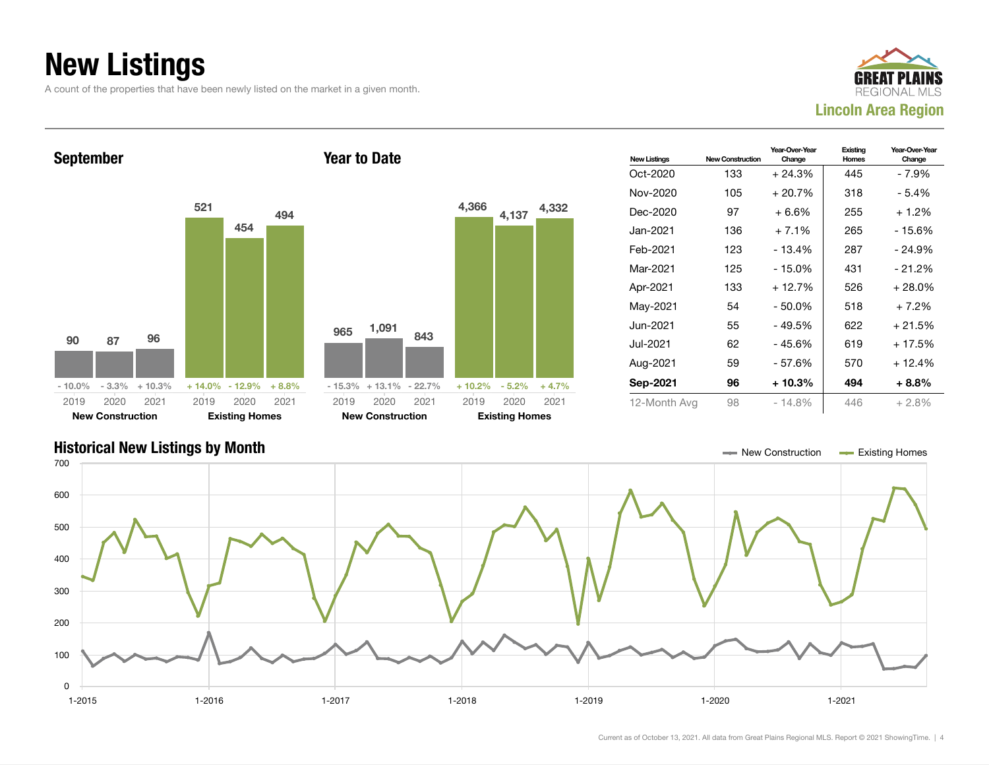## New Listings

A count of the properties that have been newly listed on the market in a given month.





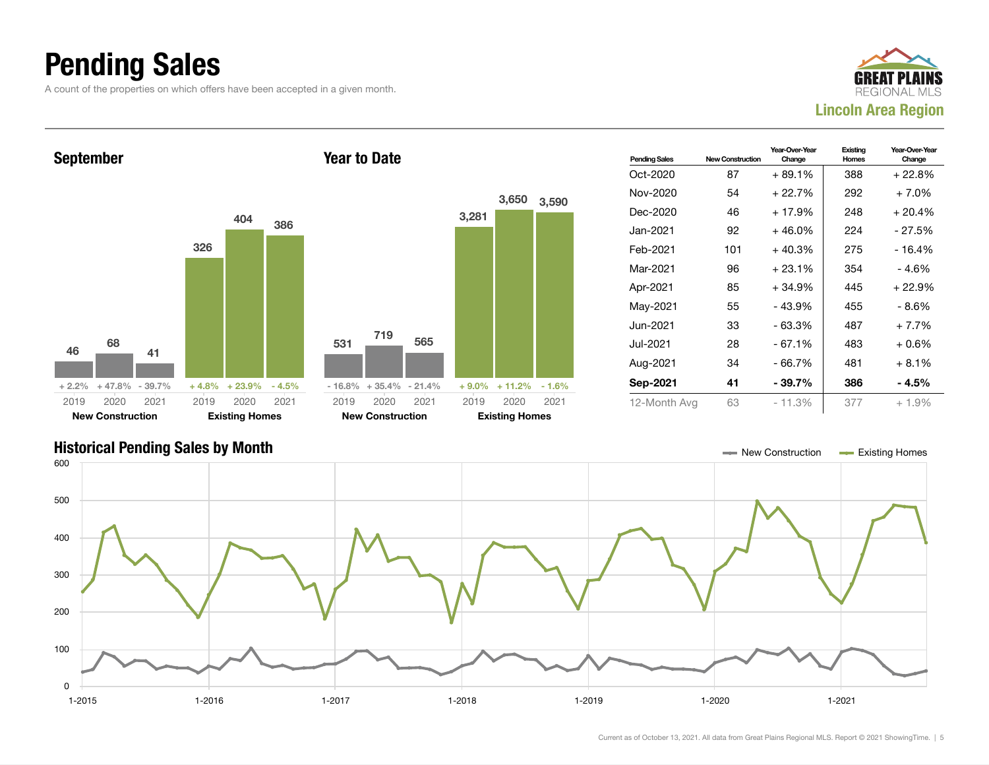### Pending Sales

A count of the properties on which offers have been accepted in a given month.





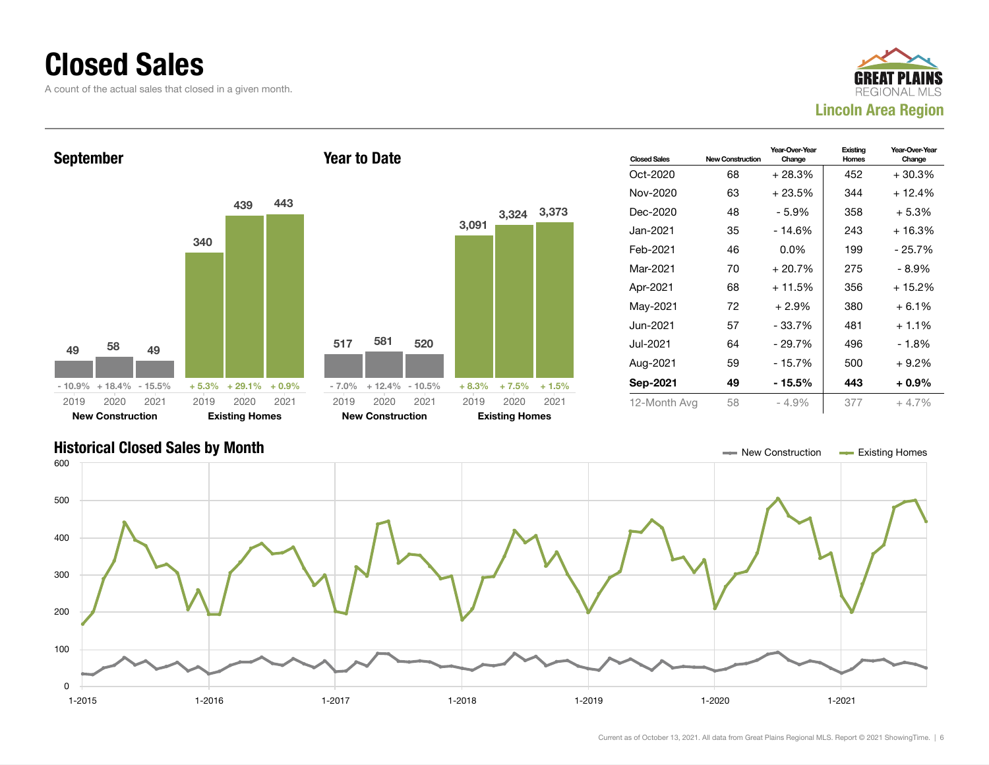### Closed Sales

A count of the actual sales that closed in a given month.





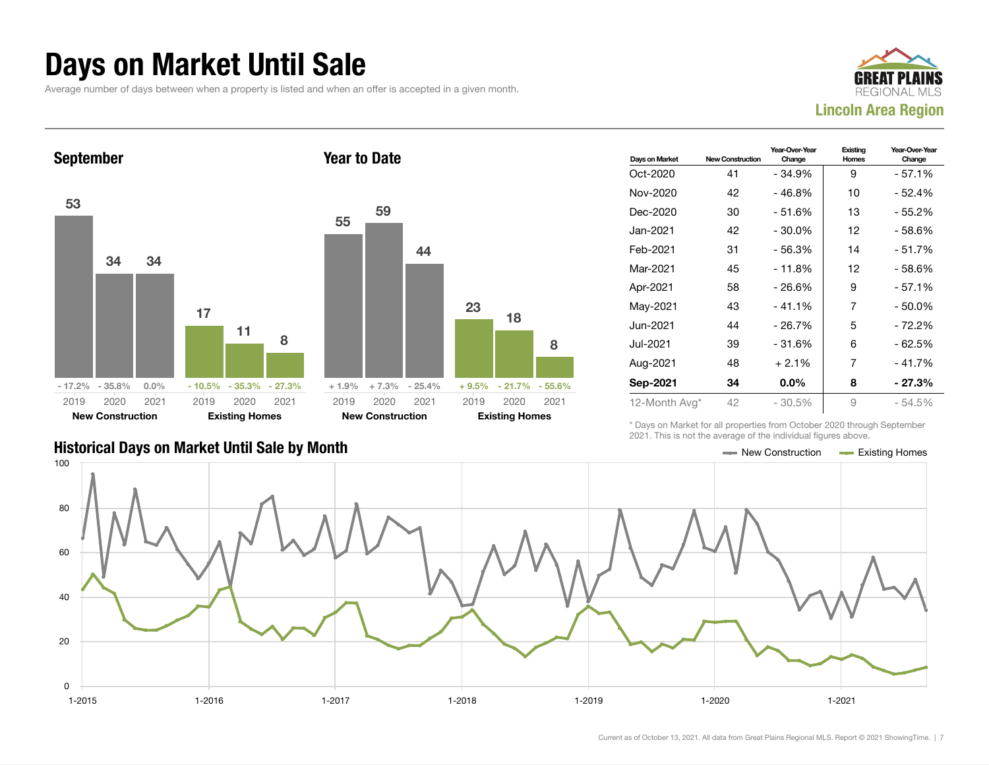### Days on Market Until Sale

Average number of days between when a property is listed and when an offer is accepted in a given month.





|                                               | LUL II IIIIU IU IIUL LIIU UVULUUU UI LIIU IIIUIVIUULI IIUUI UU UDUVU. |  |
|-----------------------------------------------|-----------------------------------------------------------------------|--|
| Historical Days on Market Until Sale by Month | $\equiv$ New Construction $\equiv$ Existing Homes                     |  |

| Days on Market | <b>New Construction</b> | Year-Over-Year<br>Change | Existing<br>Homes | Year-Over-Year<br>Change |
|----------------|-------------------------|--------------------------|-------------------|--------------------------|
| Oct-2020       | 41                      | - 34.9%                  | 9                 | $-57.1%$                 |
| Nov-2020       | 42                      | $-46.8%$                 | 10                | - 52.4%                  |
| Dec-2020       | 30                      | $-51.6%$                 | 13                | $-55.2%$                 |
| Jan-2021       | 42                      | $-30.0\%$                | 12                | - 58.6%                  |
| Feb-2021       | 31                      | - 56.3%                  | 14                | - 51.7%                  |
| Mar-2021       | 45                      | $-11.8%$                 | 12                | - 58.6%                  |
| Apr-2021       | 58                      | $-26.6%$                 | 9                 | $-57.1%$                 |
| May-2021       | 43                      | $-41.1%$                 | 7                 | $-50.0%$                 |
| Jun-2021       | 44                      | $-26.7%$                 | 5                 | $-72.2%$                 |
| Jul-2021       | 39                      | $-31.6%$                 | 6                 | $-62.5%$                 |
| Aug-2021       | 48                      | $+2.1%$                  | 7                 | $-41.7%$                 |
| Sep-2021       | 34                      | $0.0\%$                  | 8                 | - 27.3%                  |
| 12-Month Avg*  | 42                      | $-30.5%$                 | 9                 | $-54.5%$                 |

\* Days on Market for all properties from October 2020 through September 2021. This is not the average of the individual figures above.

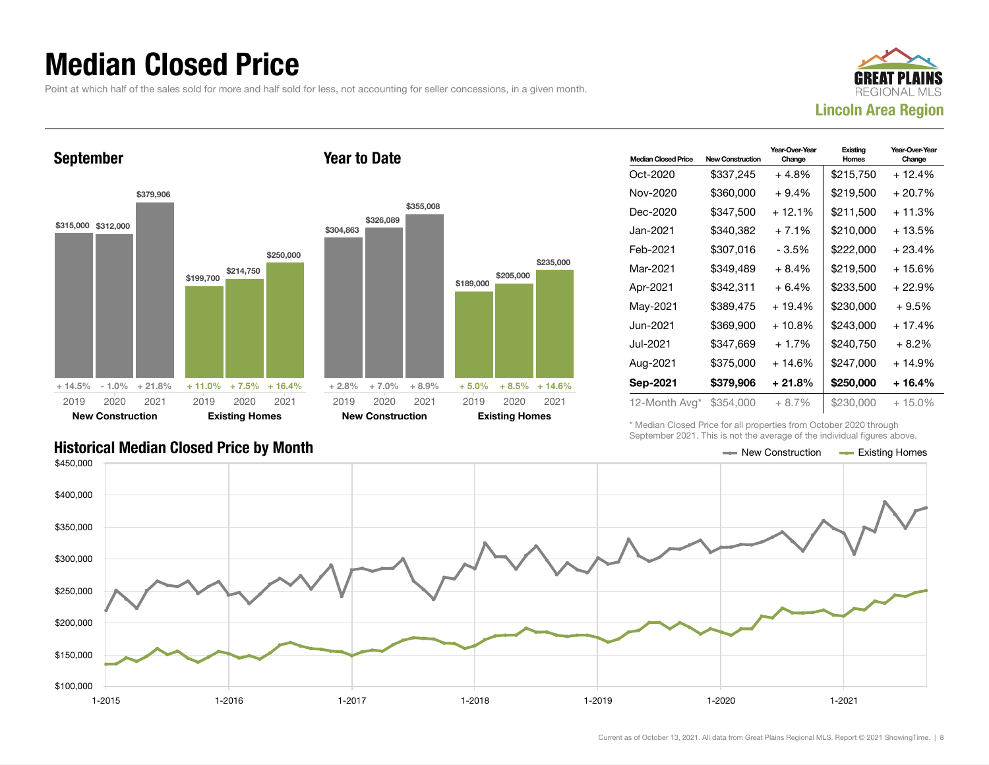### Median Closed Price

Point at which half of the sales sold for more and half sold for less, not accounting for seller concessions, in a given month.



September \$315,000 \$312,000 \$379,906 + 14.5% - 1.0% + 21.8% \$199,700 \$21 \$250,000  $+ 11.0% +$ 2019 New Construction 2020 2021 2019 **Existing** 2020 2021 Year to Date \$304,863 \$326,089 \$355,008 + 2.8% + 7.0% + 8.9% 2019

| <b>Median Closed Price</b> | New Construction | Year-Over-Year<br>Change | Existina<br>Homes | Year-Over-Year<br>Change |
|----------------------------|------------------|--------------------------|-------------------|--------------------------|
| Oct-2020                   | \$337,245        | $+4.8%$                  | \$215,750         | $+12.4%$                 |
| Nov-2020                   | \$360,000        | $+9.4%$                  | \$219,500         | + 20.7%                  |
| Dec-2020                   | \$347,500        | $+12.1%$                 | \$211.500         | + 11.3%                  |
| Jan-2021 <b>.</b>          | \$340,382        | $+7.1%$                  | \$210,000         | + 13.5%                  |
| Feb-2021                   | \$307,016        | - 3.5%                   | \$222,000         | $+23.4%$                 |
| Mar-2021                   | \$349.489        | $+8.4%$                  | \$219,500         | + 15.6%                  |
| Apr-2021                   | \$342,311        | $+6.4%$                  | \$233,500         | + 22.9%                  |
| May-2021                   | \$389,475        | + 19.4%                  | \$230,000         | $+9.5%$                  |
| Jun-2021                   | \$369,900        | $+10.8%$                 | \$243,000         | $+17.4%$                 |
| Jul-2021                   | \$347.669        | $+1.7%$                  | \$240.750         | $+8.2%$                  |
| Aug-2021                   | \$375,000        | + 14.6%                  | \$247,000         | + 14.9%                  |
| Sep-2021                   | \$379,906        | + 21.8%                  | \$250,000         | + 16.4%                  |
| 12-Month Avg*              | \$354,000        | $+8.7\%$                 | \$230,000         | $+15.0\%$                |

\* Median Closed Price for all properties from October 2020 through September 2021. This is not the average of the individual figures above.

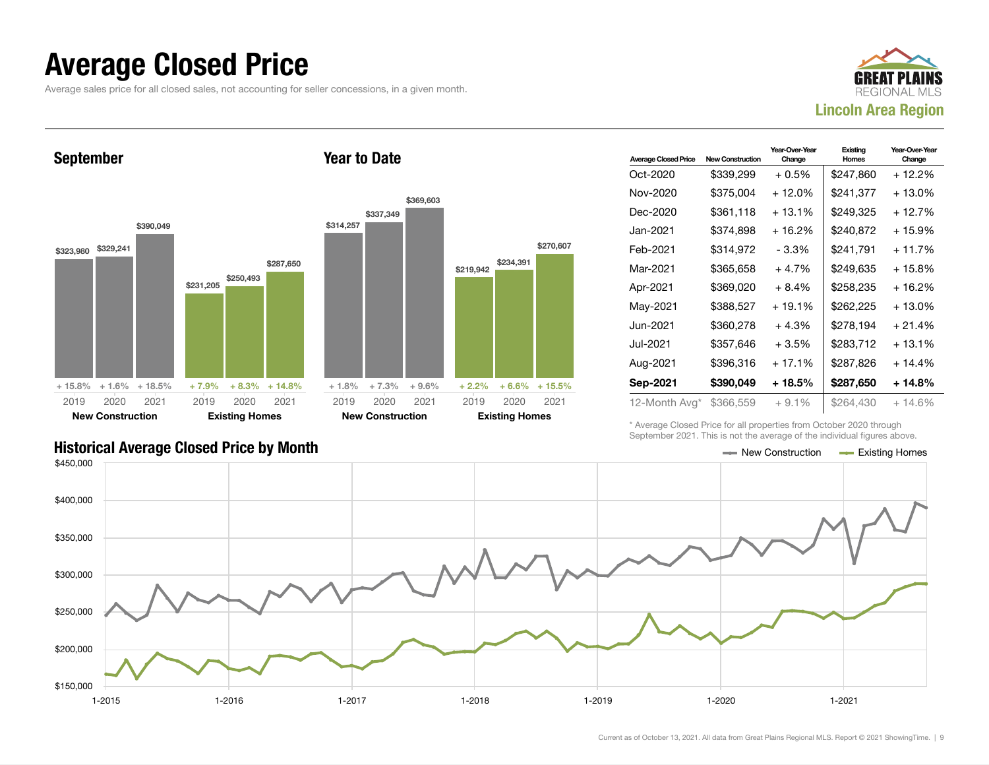### Average Closed Price

Average sales price for all closed sales, not accounting for seller concessions, in a given month.



September \$323,980 \$329,241 \$390,049 + 15.8% + 1.6% + 18.5% \$231,205 \$250,493 \$287,650  $+ 7.9\% + 8.3\% + 14.8\%$ 2019 New Construction 2020 2021 2019 Existing Homes 2020 2021 Year to Date \$314,257 \$337,349 \$369,603  $+ 1.8\% + 7.3\% + 9.6\%$ \$219,942 \$234,391 \$270,607 + 2.2% + 6.6% + 15.5% 2019 New Construction 2020 2021 2019 Existing Homes 2020 2021

| <b>Average Closed Price</b> | <b>New Construction</b> | Year-Over-Year<br>Change | Existing<br><b>Homes</b> | Year-Over-Year<br>Change |
|-----------------------------|-------------------------|--------------------------|--------------------------|--------------------------|
| Oct-2020                    | \$339,299               | $+0.5\%$                 | \$247,860                | + 12.2%                  |
| Nov-2020                    | \$375,004               | $+12.0%$                 | \$241,377                | + 13.0%                  |
| Dec-2020                    | \$361.118               | $+13.1%$                 | \$249.325                | + 12.7%                  |
| Jan-2021                    | \$374.898               | $+16.2%$                 | \$240.872                | + 15.9%                  |
| Feb-2021                    | \$314,972               | - 3.3%                   | \$241,791                | $+11.7%$                 |
| Mar-2021                    | \$365,658               | $+4.7%$                  | \$249.635                | + 15.8%                  |
| Apr-2021                    | \$369,020               | $+8.4%$                  | \$258,235                | $+16.2%$                 |
| May-2021                    | \$388,527               | $+19.1%$                 | \$262,225                | + 13.0%                  |
| Jun-2021.                   | \$360,278               | $+4.3%$                  | \$278.194                | $+21.4%$                 |
| Jul-2021                    | \$357,646               | $+3.5%$                  | \$283,712                | $+13.1%$                 |
| Aug-2021                    | \$396,316               | $+17.1%$                 | \$287,826                | $+14.4%$                 |
| Sep-2021                    | \$390,049               | + 18.5%                  | \$287,650                | + 14.8%                  |
| 12-Month Avg*               | \$366,559               | $+9.1%$                  | \$264.430                | $+14.6%$                 |

\* Average Closed Price for all properties from October 2020 through September 2021. This is not the average of the individual figures above.

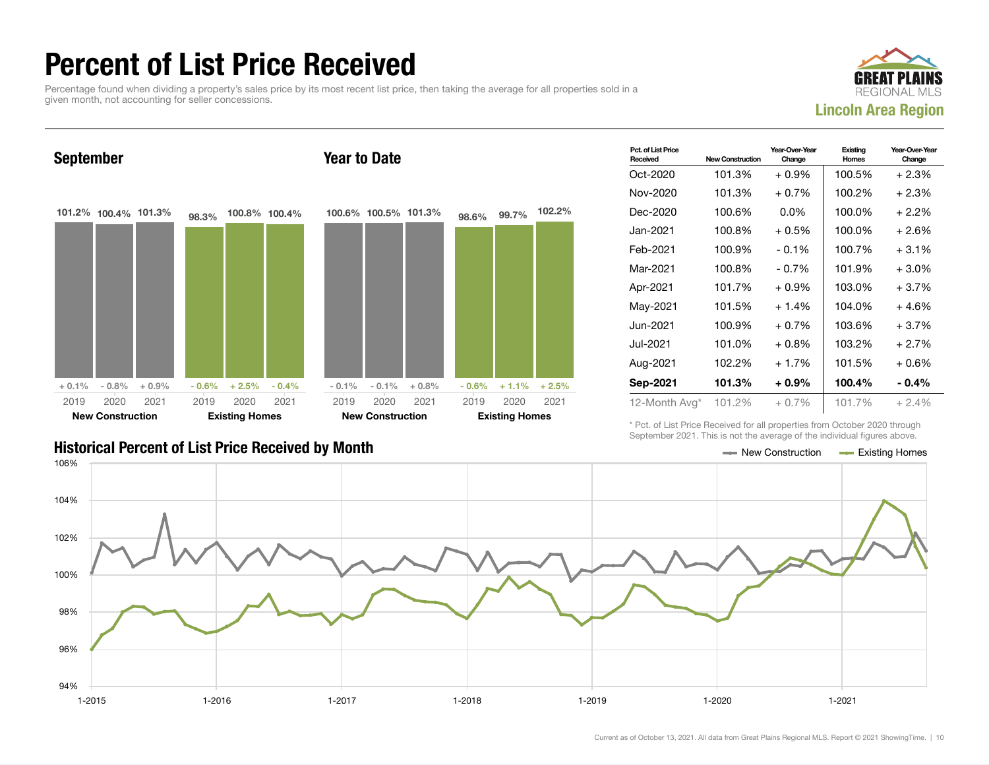### Percent of List Price Received

Percentage found when dividing a property's sales price by its most recent list price, then taking the average for all properties sold in a given month, not accounting for seller concessions.





| Pct. of List Price<br>Received | <b>New Construction</b> | Year-Over-Year<br>Change | Existing<br>Homes | Year-Over-Year<br>Change |
|--------------------------------|-------------------------|--------------------------|-------------------|--------------------------|
| Oct-2020                       | 101.3%                  | $+0.9\%$                 | 100.5%            | $+2.3%$                  |
| Nov-2020                       | 101.3%                  | $+0.7%$                  | 100.2%            | $+2.3%$                  |
| Dec-2020                       | 100.6%                  | $0.0\%$                  | 100.0%            | $+2.2\%$                 |
| Jan-2021.                      | 100.8%                  | $+0.5%$                  | 100.0%            | $+2.6%$                  |
| Feb-2021                       | 100.9%                  | $-0.1\%$                 | 100.7%            | $+3.1\%$                 |
| Mar-2021                       | 100.8%                  | $-0.7\%$                 | 101.9%            | $+3.0\%$                 |
| Apr-2021                       | 101.7%                  | $+0.9%$                  | 103.0%            | $+3.7%$                  |
| May-2021                       | 101.5%                  | $+1.4%$                  | 104.0%            | $+4.6%$                  |
| Jun-2021.                      | 100.9%                  | $+0.7\%$                 | 103.6%            | $+3.7%$                  |
| Jul-2021.                      | 101.0%                  | $+0.8%$                  | 103.2%            | $+2.7%$                  |
| Aug-2021                       | 102.2%                  | $+1.7%$                  | 101.5%            | $+0.6%$                  |
| Sep-2021                       | 101.3%                  | $+0.9\%$                 | 100.4%            | $-0.4\%$                 |
| 12-Month Avg*                  | 101.2%                  | $+0.7\%$                 | 101.7%            | $+2.4%$                  |

\* Pct. of List Price Received for all properties from October 2020 through September 2021. This is not the average of the individual figures above.



### Historical Percent of List Price Received by Month New Construction According Homes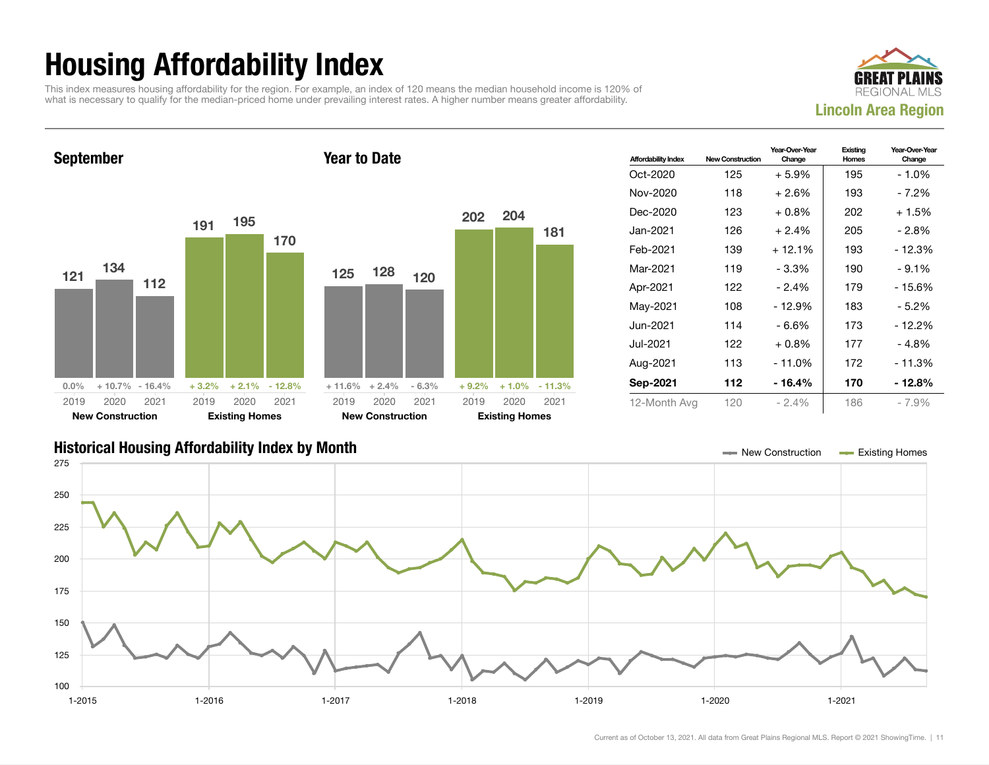## Housing Affordability Index

This index measures housing affordability for the region. For example, an index of 120 means the median household income is 120% of what is necessary to qualify for the median-priced home under prevailing interest rates. A higher number means greater affordability.



September 121 134 112  $0.0\%$  + 10.7% - 16.4% 191 195 170  $+3.2\%$   $+2.1\%$   $-12.8\%$ 2019 New Construction 2020 2021 2019 Existing Homes 2020 2021 Year to Date 125 128 120  $+ 11.6\% + 2.4\% - 6.3\%$ 202 204 181 + 9.2% + 1.0% - 11.3% 2019 New Construction 2020 2021 2019 Existing Homes 2020 2021

| <b>Affordability Index</b> | <b>New Construction</b> | Year-Over-Year<br>Change | Existing<br>Homes | Year-Over-Year<br>Change |
|----------------------------|-------------------------|--------------------------|-------------------|--------------------------|
| Oct-2020                   | 125                     | $+5.9\%$                 | 195               | - 1.0%                   |
| Nov-2020                   | 118                     | $+2.6%$                  | 193               | - 7.2%                   |
| Dec-2020                   | 123                     | $+0.8%$                  | 202               | + 1.5%                   |
| Jan-2021.                  | 126                     | $+2.4%$                  | 205               | - 2.8%                   |
| Feb-2021                   | 139                     | $+12.1%$                 | 193               | - 12.3%                  |
| Mar-2021                   | 119                     | - 3.3%                   | 190               | $-9.1%$                  |
| Apr-2021                   | 122                     | $-2.4%$                  | 179               | - 15.6%                  |
| May-2021                   | 108                     | $-12.9%$                 | 183               | - 5.2%                   |
| Jun-2021.                  | 114                     | - 6.6%                   | 173               | - 12.2%                  |
| Jul-2021.                  | 122                     | $+0.8%$                  | 177               | - 4.8%                   |
| Aug-2021                   | 113                     | $-11.0%$                 | 172               | - 11.3%                  |
| Sep-2021                   | 112                     | - 16.4%                  | 170               | - 12.8%                  |
| 12-Month Avg               | 120                     | $-2.4\%$                 | 186               | $-7.9\%$                 |

### Historical Housing Affordability Index by Month New Construction Existing Homes

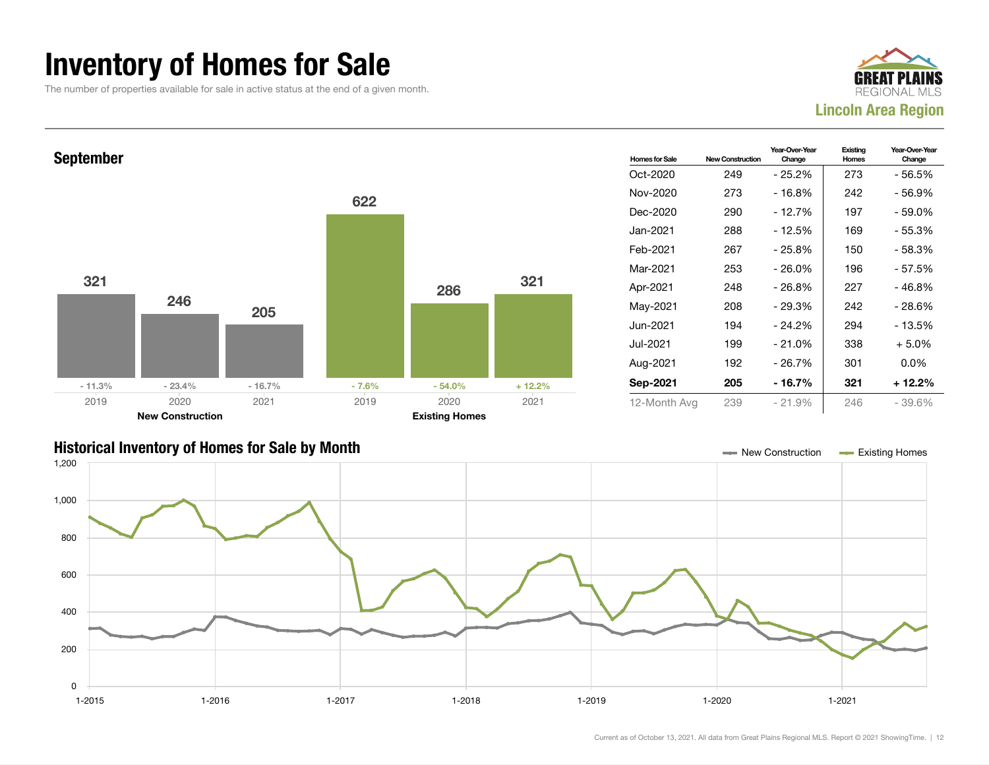### Inventory of Homes for Sale

The number of properties available for sale in active status at the end of a given month.





### Historical Inventory of Homes for Sale by Month New Construction Existing Homes

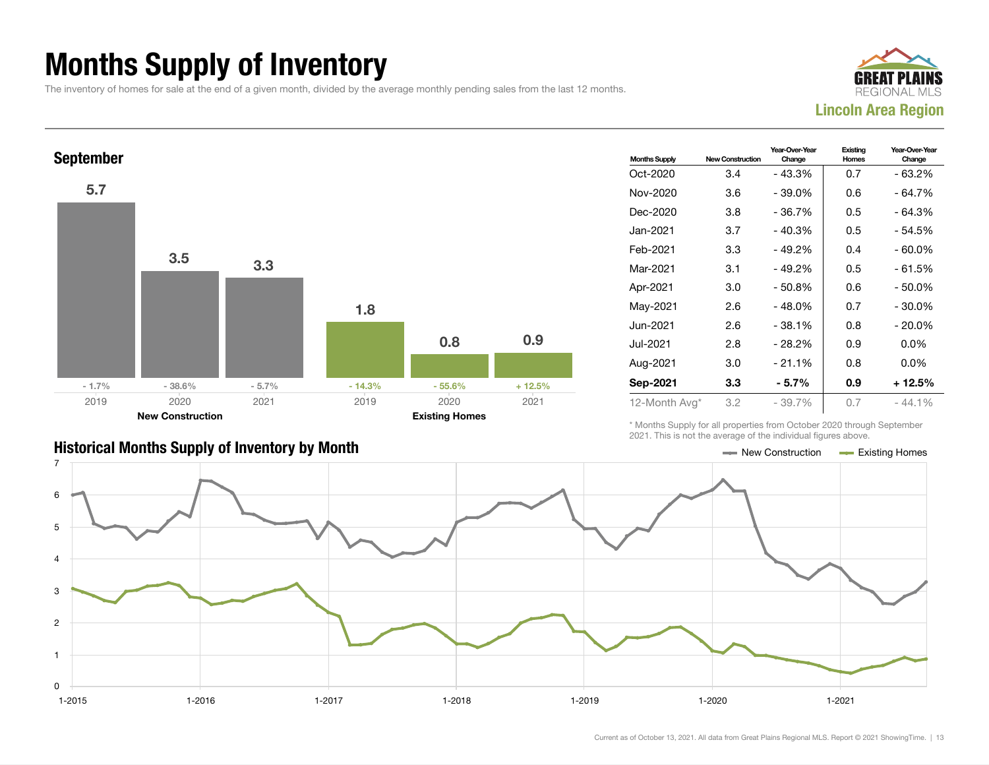## Months Supply of Inventory

The inventory of homes for sale at the end of a given month, divided by the average monthly pending sales from the last 12 months.





| <b>Months Supply</b> | <b>New Construction</b> | Year-Over-Year<br>Change | Existing<br>Homes | Year-Over-Year<br>Change |
|----------------------|-------------------------|--------------------------|-------------------|--------------------------|
| Oct-2020             | 3.4                     | - 43.3%                  | 0.7               | - 63.2%                  |
| Nov-2020             | 3.6                     | $-39.0%$                 | 0.6               | $-64.7%$                 |
| Dec-2020             | 3.8                     | $-36.7%$                 | 0.5               | - 64.3%                  |
| Jan-2021             | 3.7                     | - 40.3%                  | 0.5               | - 54.5%                  |
| Feb-2021             | 3.3                     | $-49.2%$                 | 0.4               | $-60.0\%$                |
| Mar-2021             | 3.1                     | $-49.2%$                 | 0.5               | - 61.5%                  |
| Apr-2021             | 3.0                     | $-50.8%$                 | 0.6               | $-50.0\%$                |
| May-2021             | 2.6                     | $-48.0%$                 | 0.7               | $-30.0\%$                |
| Jun-2021             | 2.6                     | - 38.1%                  | 0.8               | $-20.0%$                 |
| Jul-2021             | 2.8                     | - 28.2%                  | 0.9               | $0.0\%$                  |
| Aug-2021             | 3.0                     | $-21.1%$                 | 0.8               | $0.0\%$                  |
| Sep-2021             | 3.3                     | $-5.7%$                  | 0.9               | $+12.5%$                 |
| 12-Month Avg*        | 3.2                     | $-39.7%$                 | 0.7               | - 44.1%                  |

\* Months Supply for all properties from October 2020 through September 2021. This is not the average of the individual figures above.